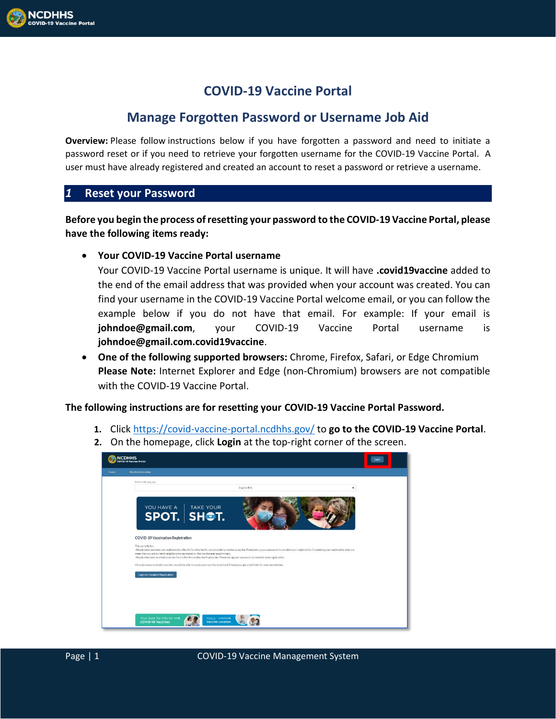# **COVID-19 Vaccine Portal**

## **Manage Forgotten Password or Username Job Aid**

**Overview:** Please follow instructions below if you have forgotten a password and need to initiate a password reset or if you need to retrieve your forgotten username for the COVID-19 Vaccine Portal. A user must have already registered and created an account to reset a password or retrieve a username.

### *1* **Reset your Password**

**Before you begin the process of resetting your password to the COVID-19 Vaccine Portal, please have the following items ready:**

• **Your COVID-19 Vaccine Portal username**

Your COVID-19 Vaccine Portal username is unique. It will have **.covid19vaccine** added to the end of the email address that was provided when your account was created. You can find your username in the COVID-19 Vaccine Portal welcome email, or you can follow the example below if you do not have that email. For example: If your email is **johndoe@gmail.com**, your COVID-19 Vaccine Portal username is **johndoe@gmail.com.covid19vaccine**.

• **One of the following supported browsers:** Chrome, Firefox, Safari, or Edge Chromium **Please Note:** Internet Explorer and Edge (non-Chromium) browsers are not compatible with the COVID-19 Vaccine Portal.

### **The following instructions are for resetting your COVID-19 Vaccine Portal Password.**

- **1.** Click <https://covid-vaccine-portal.ncdhhs.gov/> to **go to the COVID-19 Vaccine Portal**.
- **2.** On the homepage, click **Login** at the top-right corner of the screen.

| <b>NCDHHS</b><br><b>COVID-19 Vaccine Portal</b> |                                                                                                                                                                                                                                                                                                                                                                                                                                                                                                            |  |
|-------------------------------------------------|------------------------------------------------------------------------------------------------------------------------------------------------------------------------------------------------------------------------------------------------------------------------------------------------------------------------------------------------------------------------------------------------------------------------------------------------------------------------------------------------------------|--|
| Home                                            | Help & Information                                                                                                                                                                                                                                                                                                                                                                                                                                                                                         |  |
|                                                 | Preferred Language<br>English (US)<br>٠                                                                                                                                                                                                                                                                                                                                                                                                                                                                    |  |
|                                                 | YOU HAVE A TAKE YOUR                                                                                                                                                                                                                                                                                                                                                                                                                                                                                       |  |
|                                                 | <b>COVID-19 Vaccination Registration</b><br>This portal is for:<br>-People who have been pre-registered by a North Carolina health care provider to receive a vaccine. Please set up your password to complete your registration. Completing your registration does not<br>mean that you are currently eligible to be vaccinated or that you have an appointment.<br>-People who have received a vaccine from a North Carolina health provider. Please set up your password to complete your registration. |  |
|                                                 | Once you have received a vaccine, you will be able to access your vaccine record and if necessary, get a reminder for your second dose.<br>Login to Complete Registration                                                                                                                                                                                                                                                                                                                                  |  |
|                                                 |                                                                                                                                                                                                                                                                                                                                                                                                                                                                                                            |  |
|                                                 | Your Spot for Info on -><br>Find a $\longrightarrow$<br><b>COVID-19 Vaccines</b><br><b>Vaccine Location</b>                                                                                                                                                                                                                                                                                                                                                                                                |  |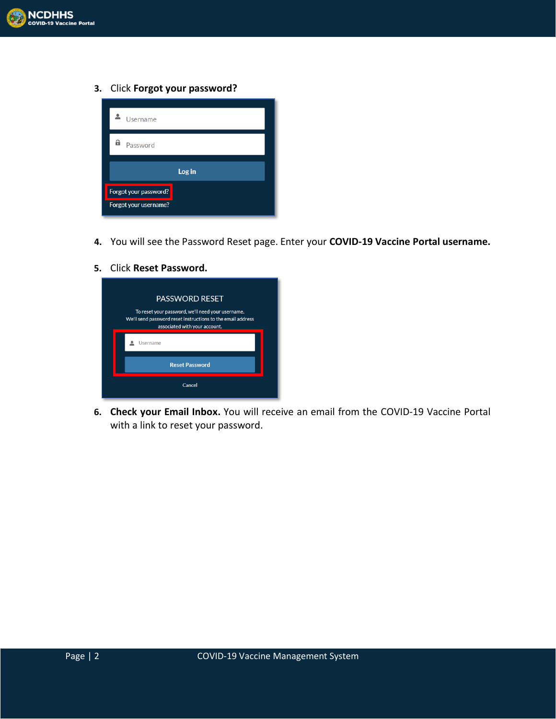

**3.** Click **Forgot your password?**



- **4.** You will see the Password Reset page. Enter your **COVID-19 Vaccine Portal username.**
- **5.** Click **Reset Password.**



**6. Check your Email Inbox.** You will receive an email from the COVID-19 Vaccine Portal with a link to reset your password.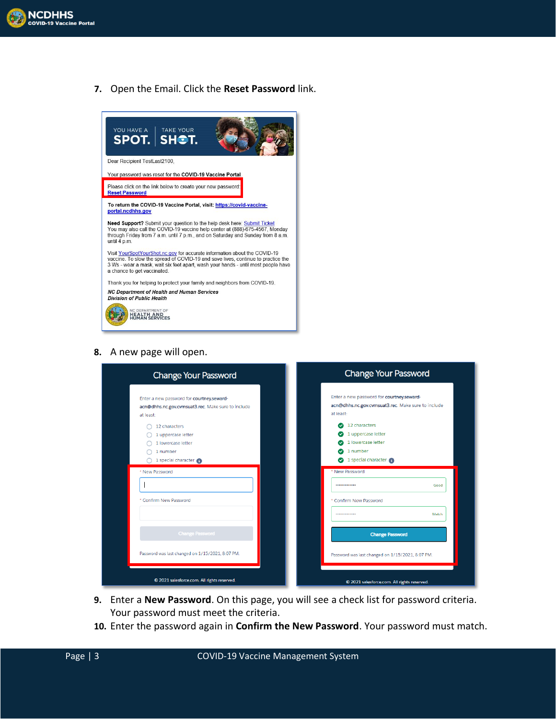

**7.** Open the Email. Click the **Reset Password** link.



**8.** A new page will open.

| <b>Change Your Password</b>                                                                                                                                                           | <b>Change Your Password</b>                                                                                                                                                           |  |  |  |
|---------------------------------------------------------------------------------------------------------------------------------------------------------------------------------------|---------------------------------------------------------------------------------------------------------------------------------------------------------------------------------------|--|--|--|
| Enter a new password for courtney.seward-<br>acn@dhhs.nc.gov.cvmsuat3.rec. Make sure to include<br>at least:<br>12 characters<br>1 uppercase letter<br>1 lowercase letter<br>1 number | Enter a new password for courtney.seward-<br>acn@dhhs.nc.gov.cvmsuat3.rec. Make sure to include<br>at least:<br>12 characters<br>1 uppercase letter<br>1 lowercase letter<br>1 number |  |  |  |
| 1 special character<br>* New Password                                                                                                                                                 | 1 special character<br>Ø<br>* New Password<br><br>Good                                                                                                                                |  |  |  |
| * Confirm New Password                                                                                                                                                                | * Confirm New Password<br>Match<br>                                                                                                                                                   |  |  |  |
| <b>Change Password</b>                                                                                                                                                                | <b>Change Password</b>                                                                                                                                                                |  |  |  |
| Password was last changed on 1/15/2021, 8:07 PM.                                                                                                                                      | Password was last changed on 1/15/2021, 8:07 PM.                                                                                                                                      |  |  |  |
| © 2021 salesforce.com. All rights reserved.                                                                                                                                           | © 2021 salesforce.com. All rights reserved.                                                                                                                                           |  |  |  |

- **9.** Enter a **New Password**. On this page, you will see a check list for password criteria. Your password must meet the criteria.
- **10.** Enter the password again in **Confirm the New Password**. Your password must match.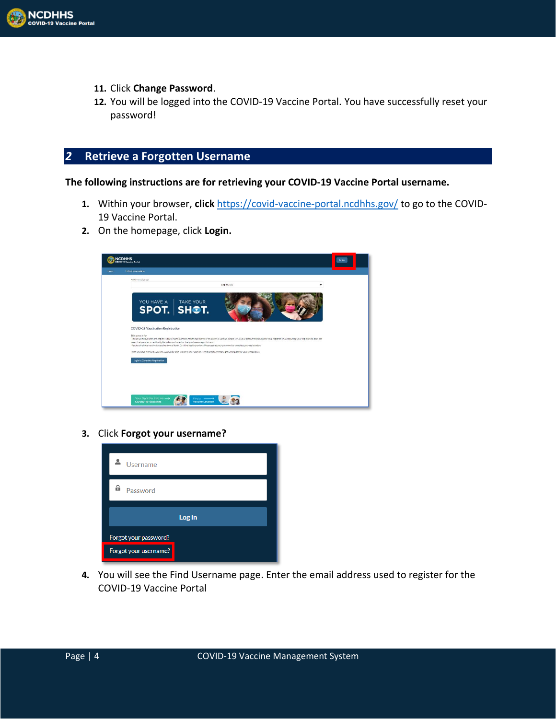

- **11.** Click **Change Password**.
- **12.** You will be logged into the COVID-19 Vaccine Portal. You have successfully reset your password!

### *2* **Retrieve a Forgotten Username**

**The following instructions are for retrieving your COVID-19 Vaccine Portal username.** 

- **1.** Within your browser, **click** <https://covid-vaccine-portal.ncdhhs.gov/> to go to the COVID-19 Vaccine Portal.
- **2.** On the homepage, click **Login.**



**3.** Click **Forgot your username?**



**4.** You will see the Find Username page. Enter the email address used to register for the COVID-19 Vaccine Portal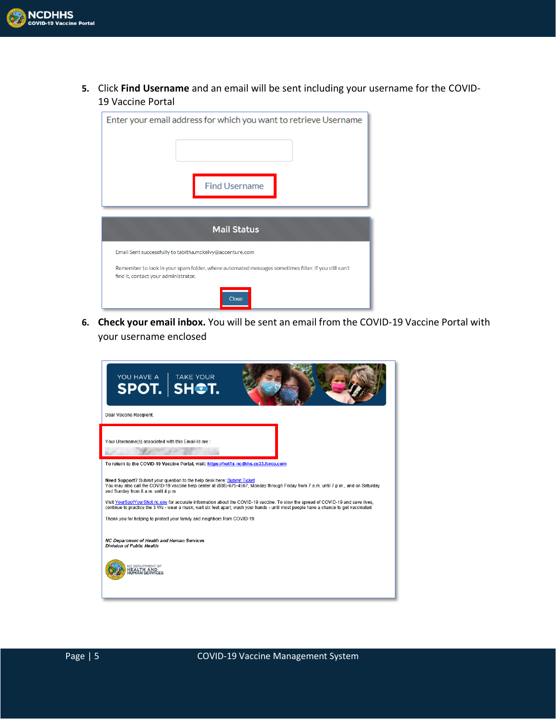

**5.** Click **Find Username** and an email will be sent including your username for the COVID-19 Vaccine Portal

| Enter your email address for which you want to retrieve Username                                                                            |  |  |  |  |  |
|---------------------------------------------------------------------------------------------------------------------------------------------|--|--|--|--|--|
| <b>Find Username</b>                                                                                                                        |  |  |  |  |  |
| <b>Mail Status</b>                                                                                                                          |  |  |  |  |  |
| Email Sent successfully to tabitha.mckelvy@accenture.com                                                                                    |  |  |  |  |  |
| Remember to look in your spam folder, where automated messages sometimes filter. If you still can't<br>find it, contact your administrator. |  |  |  |  |  |
| <b>Close</b>                                                                                                                                |  |  |  |  |  |

**6. Check your email inbox.** You will be sent an email from the COVID-19 Vaccine Portal with your username enclosed

| YOU HAVE A TAKE YOUR                                                                                                                                                                                                                                                                                                                                                                                                                                                                                                                                                                                                                                                                                                                                                                                       |
|------------------------------------------------------------------------------------------------------------------------------------------------------------------------------------------------------------------------------------------------------------------------------------------------------------------------------------------------------------------------------------------------------------------------------------------------------------------------------------------------------------------------------------------------------------------------------------------------------------------------------------------------------------------------------------------------------------------------------------------------------------------------------------------------------------|
| Dear Vaccine Recipient.                                                                                                                                                                                                                                                                                                                                                                                                                                                                                                                                                                                                                                                                                                                                                                                    |
| Your Username(s) associated with this Email-Id are :                                                                                                                                                                                                                                                                                                                                                                                                                                                                                                                                                                                                                                                                                                                                                       |
| To return to the COVID-19 Vaccine Portal, visit: https://hotfix-ncdhhs.cs33.force.com<br>Need Support? Submit your question to the help desk here: Submit Ticket<br>You may also call the COVID-19 vaccine help center at (888)-675-4567. Monday through Friday from 7 a.m. until 7 p.m., and on Saturday<br>and Sunday from 8 a.m. until 4 p.m.<br>Visit YourSpotYourShot.nc.gov for accurate information about the COVID-19 vaccine. To slow the spread of COVID-19 and save lives.<br>continue to practice the 3 Ws - wear a mask, wait six feet apart, wash your hands - until most people have a chance to get vaccinated.<br>Thank you for helping to protect your family and neighbors from COVID-19.<br>NC Department of Health and Human Services<br>Division of Public Health<br>C DEPARTMENT OF |